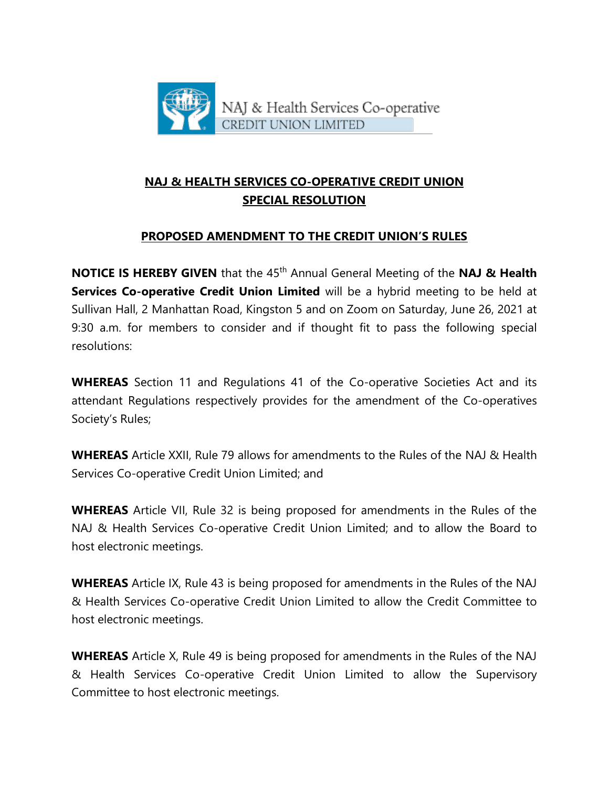

# **NAJ & HEALTH SERVICES CO-OPERATIVE CREDIT UNION SPECIAL RESOLUTION**

## **PROPOSED AMENDMENT TO THE CREDIT UNION'S RULES**

**NOTICE IS HEREBY GIVEN** that the 45<sup>th</sup> Annual General Meeting of the **NAJ & Health Services Co-operative Credit Union Limited** will be a hybrid meeting to be held at Sullivan Hall, 2 Manhattan Road, Kingston 5 and on Zoom on Saturday, June 26, 2021 at 9:30 a.m. for members to consider and if thought fit to pass the following special resolutions:

**WHEREAS** Section 11 and Regulations 41 of the Co-operative Societies Act and its attendant Regulations respectively provides for the amendment of the Co-operatives Society's Rules;

**WHEREAS** Article XXII, Rule 79 allows for amendments to the Rules of the NAJ & Health Services Co-operative Credit Union Limited; and

**WHEREAS** Article VII, Rule 32 is being proposed for amendments in the Rules of the NAJ & Health Services Co-operative Credit Union Limited; and to allow the Board to host electronic meetings.

**WHEREAS** Article IX, Rule 43 is being proposed for amendments in the Rules of the NAJ & Health Services Co-operative Credit Union Limited to allow the Credit Committee to host electronic meetings.

**WHEREAS** Article X, Rule 49 is being proposed for amendments in the Rules of the NAJ & Health Services Co-operative Credit Union Limited to allow the Supervisory Committee to host electronic meetings.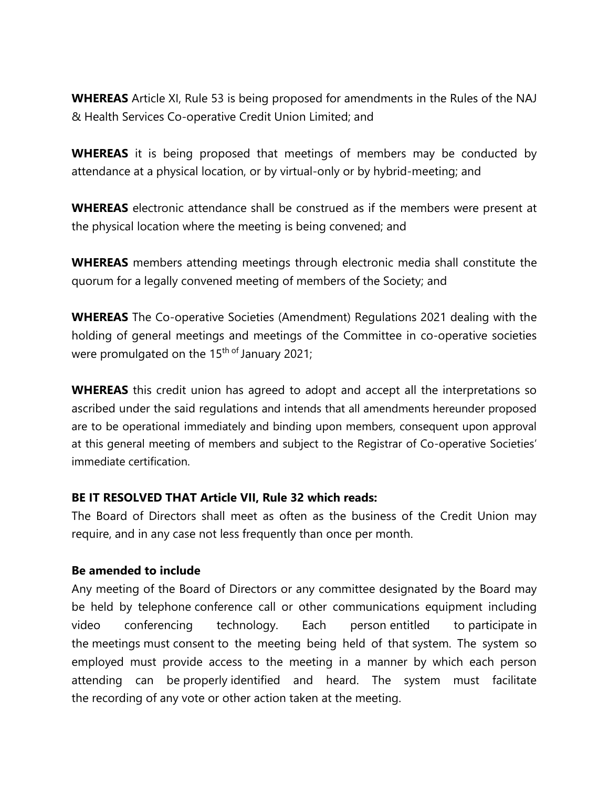**WHEREAS** Article XI, Rule 53 is being proposed for amendments in the Rules of the NAJ & Health Services Co-operative Credit Union Limited; and

**WHEREAS** it is being proposed that meetings of members may be conducted by attendance at a physical location, or by virtual-only or by hybrid-meeting; and

**WHEREAS** electronic attendance shall be construed as if the members were present at the physical location where the meeting is being convened; and

**WHEREAS** members attending meetings through electronic media shall constitute the quorum for a legally convened meeting of members of the Society; and

**WHEREAS** The Co-operative Societies (Amendment) Regulations 2021 dealing with the holding of general meetings and meetings of the Committee in co-operative societies were promulgated on the 15<sup>th of</sup> January 2021;

**WHEREAS** this credit union has agreed to adopt and accept all the interpretations so ascribed under the said regulations and intends that all amendments hereunder proposed are to be operational immediately and binding upon members, consequent upon approval at this general meeting of members and subject to the Registrar of Co-operative Societies' immediate certification.

## **BE IT RESOLVED THAT Article VII, Rule 32 which reads:**

The Board of Directors shall meet as often as the business of the Credit Union may require, and in any case not less frequently than once per month.

### **Be amended to include**

Any meeting of the Board of Directors or any committee designated by the Board may be held by telephone conference call or other communications equipment including video conferencing technology. Each person entitled to participate in the meetings must consent to the meeting being held of that system. The system so employed must provide access to the meeting in a manner by which each person attending can be properly identified and heard. The system must facilitate the recording of any vote or other action taken at the meeting.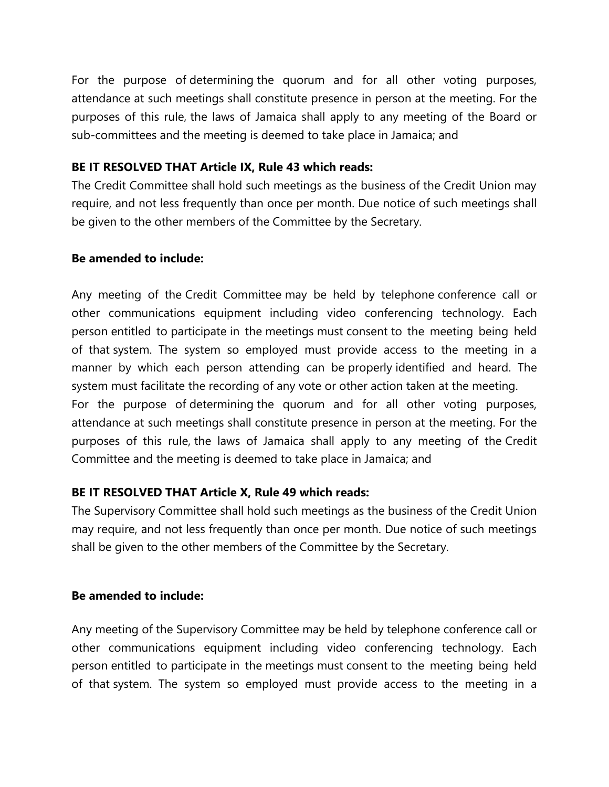For the purpose of determining the quorum and for all other voting purposes, attendance at such meetings shall constitute presence in person at the meeting. For the purposes of this rule, the laws of Jamaica shall apply to any meeting of the Board or sub-committees and the meeting is deemed to take place in Jamaica; and

## **BE IT RESOLVED THAT Article IX, Rule 43 which reads:**

The Credit Committee shall hold such meetings as the business of the Credit Union may require, and not less frequently than once per month. Due notice of such meetings shall be given to the other members of the Committee by the Secretary.

### **Be amended to include:**

Any meeting of the Credit Committee may be held by telephone conference call or other communications equipment including video conferencing technology. Each person entitled to participate in the meetings must consent to the meeting being held of that system. The system so employed must provide access to the meeting in a manner by which each person attending can be properly identified and heard. The system must facilitate the recording of any vote or other action taken at the meeting. For the purpose of determining the quorum and for all other voting purposes, attendance at such meetings shall constitute presence in person at the meeting. For the purposes of this rule, the laws of Jamaica shall apply to any meeting of the Credit Committee and the meeting is deemed to take place in Jamaica; and

# **BE IT RESOLVED THAT Article X, Rule 49 which reads:**

The Supervisory Committee shall hold such meetings as the business of the Credit Union may require, and not less frequently than once per month. Due notice of such meetings shall be given to the other members of the Committee by the Secretary.

### **Be amended to include:**

Any meeting of the Supervisory Committee may be held by telephone conference call or other communications equipment including video conferencing technology. Each person entitled to participate in the meetings must consent to the meeting being held of that system. The system so employed must provide access to the meeting in a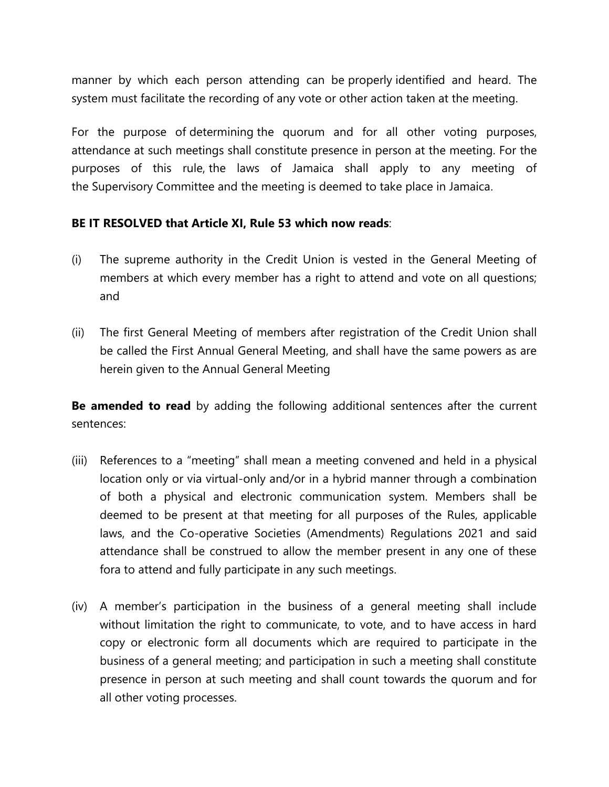manner by which each person attending can be properly identified and heard. The system must facilitate the recording of any vote or other action taken at the meeting.

For the purpose of determining the quorum and for all other voting purposes, attendance at such meetings shall constitute presence in person at the meeting. For the purposes of this rule, the laws of Jamaica shall apply to any meeting of the Supervisory Committee and the meeting is deemed to take place in Jamaica.

## **BE IT RESOLVED that Article XI, Rule 53 which now reads**:

- (i) The supreme authority in the Credit Union is vested in the General Meeting of members at which every member has a right to attend and vote on all questions; and
- (ii) The first General Meeting of members after registration of the Credit Union shall be called the First Annual General Meeting, and shall have the same powers as are herein given to the Annual General Meeting

**Be amended to read** by adding the following additional sentences after the current sentences:

- (iii) References to a "meeting" shall mean a meeting convened and held in a physical location only or via virtual-only and/or in a hybrid manner through a combination of both a physical and electronic communication system. Members shall be deemed to be present at that meeting for all purposes of the Rules, applicable laws, and the Co-operative Societies (Amendments) Regulations 2021 and said attendance shall be construed to allow the member present in any one of these fora to attend and fully participate in any such meetings.
- (iv) A member's participation in the business of a general meeting shall include without limitation the right to communicate, to vote, and to have access in hard copy or electronic form all documents which are required to participate in the business of a general meeting; and participation in such a meeting shall constitute presence in person at such meeting and shall count towards the quorum and for all other voting processes.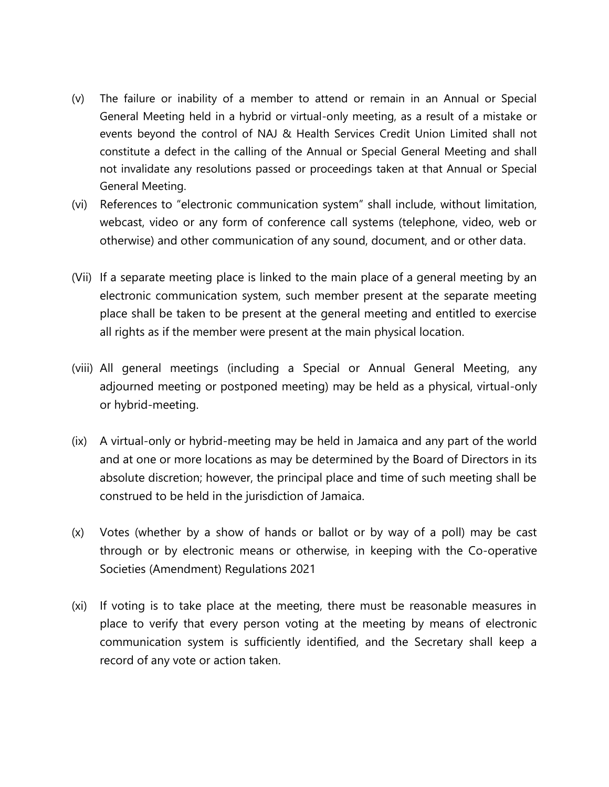- (v) The failure or inability of a member to attend or remain in an Annual or Special General Meeting held in a hybrid or virtual-only meeting, as a result of a mistake or events beyond the control of NAJ & Health Services Credit Union Limited shall not constitute a defect in the calling of the Annual or Special General Meeting and shall not invalidate any resolutions passed or proceedings taken at that Annual or Special General Meeting.
- (vi) References to "electronic communication system" shall include, without limitation, webcast, video or any form of conference call systems (telephone, video, web or otherwise) and other communication of any sound, document, and or other data.
- (Vii) If a separate meeting place is linked to the main place of a general meeting by an electronic communication system, such member present at the separate meeting place shall be taken to be present at the general meeting and entitled to exercise all rights as if the member were present at the main physical location.
- (viii) All general meetings (including a Special or Annual General Meeting, any adjourned meeting or postponed meeting) may be held as a physical, virtual-only or hybrid-meeting.
- (ix) A virtual-only or hybrid-meeting may be held in Jamaica and any part of the world and at one or more locations as may be determined by the Board of Directors in its absolute discretion; however, the principal place and time of such meeting shall be construed to be held in the jurisdiction of Jamaica.
- (x) Votes (whether by a show of hands or ballot or by way of a poll) may be cast through or by electronic means or otherwise, in keeping with the Co-operative Societies (Amendment) Regulations 2021
- (xi) If voting is to take place at the meeting, there must be reasonable measures in place to verify that every person voting at the meeting by means of electronic communication system is sufficiently identified, and the Secretary shall keep a record of any vote or action taken.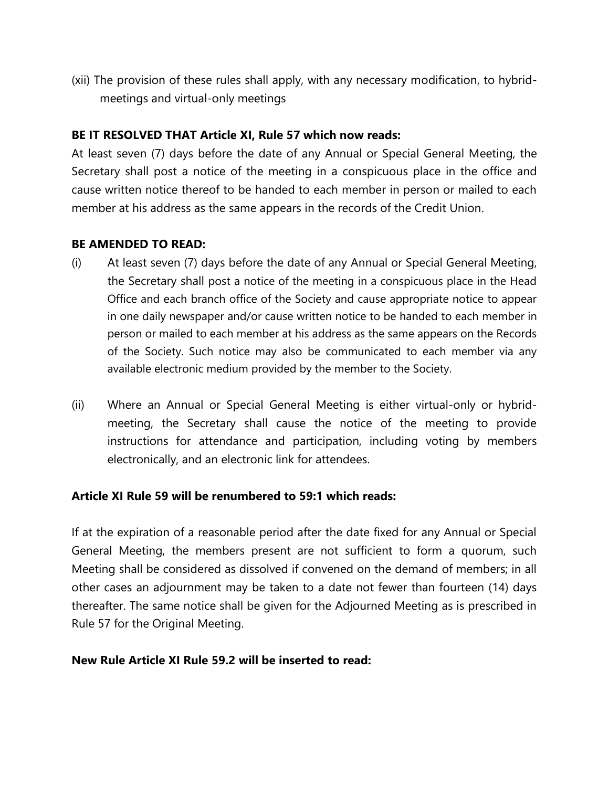(xii) The provision of these rules shall apply, with any necessary modification, to hybridmeetings and virtual-only meetings

## **BE IT RESOLVED THAT Article XI, Rule 57 which now reads:**

At least seven (7) days before the date of any Annual or Special General Meeting, the Secretary shall post a notice of the meeting in a conspicuous place in the office and cause written notice thereof to be handed to each member in person or mailed to each member at his address as the same appears in the records of the Credit Union.

### **BE AMENDED TO READ:**

- (i) At least seven (7) days before the date of any Annual or Special General Meeting, the Secretary shall post a notice of the meeting in a conspicuous place in the Head Office and each branch office of the Society and cause appropriate notice to appear in one daily newspaper and/or cause written notice to be handed to each member in person or mailed to each member at his address as the same appears on the Records of the Society. Such notice may also be communicated to each member via any available electronic medium provided by the member to the Society.
- (ii) Where an Annual or Special General Meeting is either virtual-only or hybridmeeting, the Secretary shall cause the notice of the meeting to provide instructions for attendance and participation, including voting by members electronically, and an electronic link for attendees.

### **Article XI Rule 59 will be renumbered to 59:1 which reads:**

If at the expiration of a reasonable period after the date fixed for any Annual or Special General Meeting, the members present are not sufficient to form a quorum, such Meeting shall be considered as dissolved if convened on the demand of members; in all other cases an adjournment may be taken to a date not fewer than fourteen (14) days thereafter. The same notice shall be given for the Adjourned Meeting as is prescribed in Rule 57 for the Original Meeting.

### **New Rule Article XI Rule 59.2 will be inserted to read:**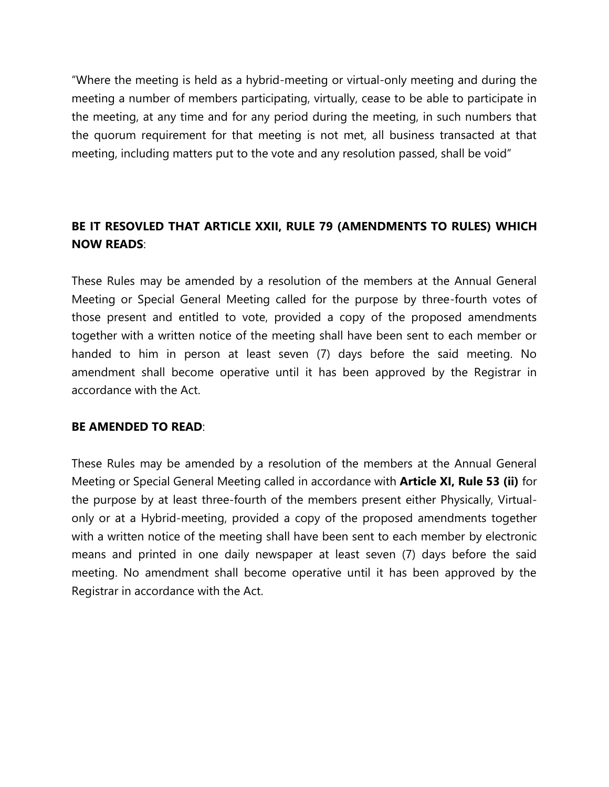"Where the meeting is held as a hybrid-meeting or virtual-only meeting and during the meeting a number of members participating, virtually, cease to be able to participate in the meeting, at any time and for any period during the meeting, in such numbers that the quorum requirement for that meeting is not met, all business transacted at that meeting, including matters put to the vote and any resolution passed, shall be void"

## **BE IT RESOVLED THAT ARTICLE XXII, RULE 79 (AMENDMENTS TO RULES) WHICH NOW READS**:

These Rules may be amended by a resolution of the members at the Annual General Meeting or Special General Meeting called for the purpose by three-fourth votes of those present and entitled to vote, provided a copy of the proposed amendments together with a written notice of the meeting shall have been sent to each member or handed to him in person at least seven (7) days before the said meeting. No amendment shall become operative until it has been approved by the Registrar in accordance with the Act.

### **BE AMENDED TO READ**:

These Rules may be amended by a resolution of the members at the Annual General Meeting or Special General Meeting called in accordance with **Article XI, Rule 53 (ii)** for the purpose by at least three-fourth of the members present either Physically, Virtualonly or at a Hybrid-meeting, provided a copy of the proposed amendments together with a written notice of the meeting shall have been sent to each member by electronic means and printed in one daily newspaper at least seven (7) days before the said meeting. No amendment shall become operative until it has been approved by the Registrar in accordance with the Act.